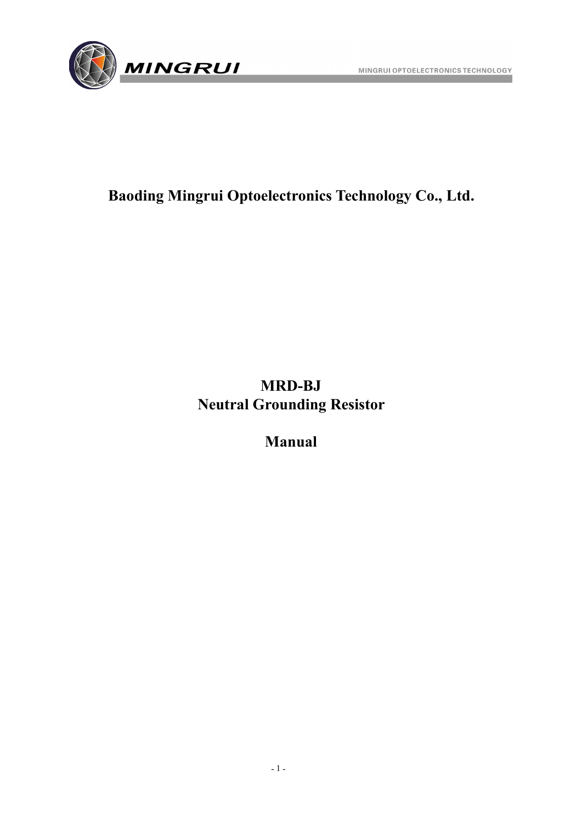

### **Baoding Mingrui Optoelectronics Technology Co., Ltd.**

### **MRD-BJ Neutral Grounding Resistor**

**Manual**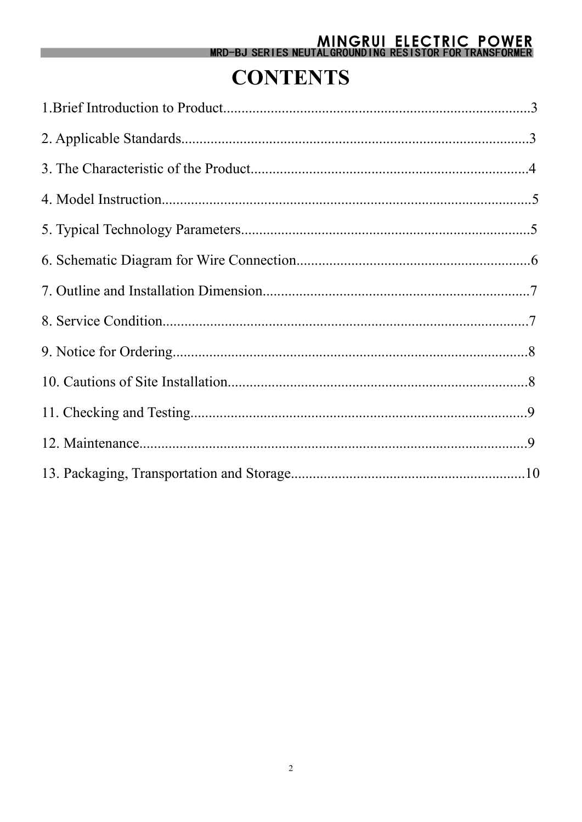# MINGRUI ELECTRIC POWER<br>MRD-BJ SERIES NEUTALGROUNDING RESISTOR FOR TRANSFORMER

## **CONTENTS**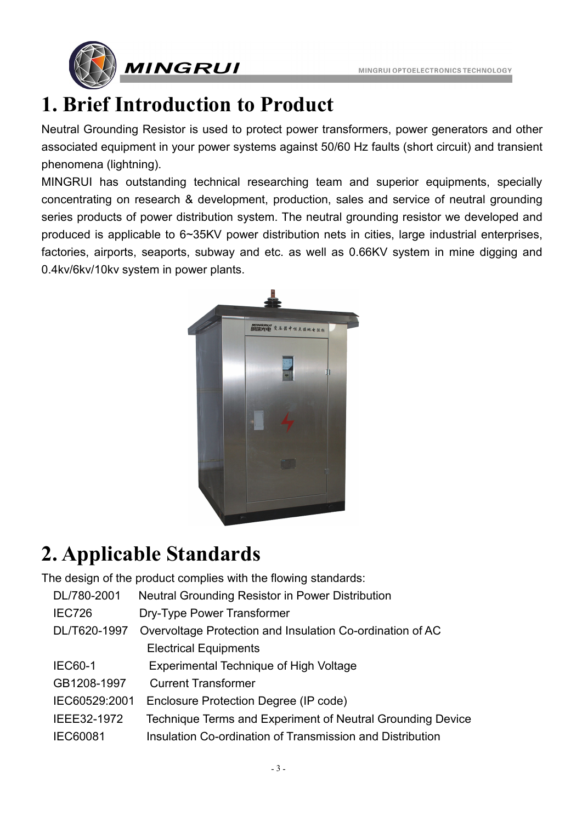

## **1. Brief Introduction to Product**

Neutral Grounding Resistor is used to protect power transformers, power generators and other associated equipment in your power systems against 50/60 Hz faults (short circuit) and transient phenomena (lightning).

MINGRUI has outstanding technical researching team and superior equipments, specially concentrating on research & development, production, sales and service of neutral grounding series products of power distribution system. The neutral grounding resistor we developed and produced is applicable to 6~35KV power distribution nets in cities, large industrial enterprises, factories, airports, seaports, subway and etc. as well as 0.66KV system in mine digging and 0.4kv/6kv/10kv system in power plants.



## **2. Applicable Standards**

The design of the product complies with the flowing standards:

| DL/780-2001     | Neutral Grounding Resistor in Power Distribution           |
|-----------------|------------------------------------------------------------|
| <b>IEC726</b>   | Dry-Type Power Transformer                                 |
| DL/T620-1997    | Overvoltage Protection and Insulation Co-ordination of AC  |
|                 | <b>Electrical Equipments</b>                               |
| <b>IEC60-1</b>  | Experimental Technique of High Voltage                     |
| GB1208-1997     | <b>Current Transformer</b>                                 |
| IEC60529:2001   | Enclosure Protection Degree (IP code)                      |
| IEEE32-1972     | Technique Terms and Experiment of Neutral Grounding Device |
| <b>IEC60081</b> | Insulation Co-ordination of Transmission and Distribution  |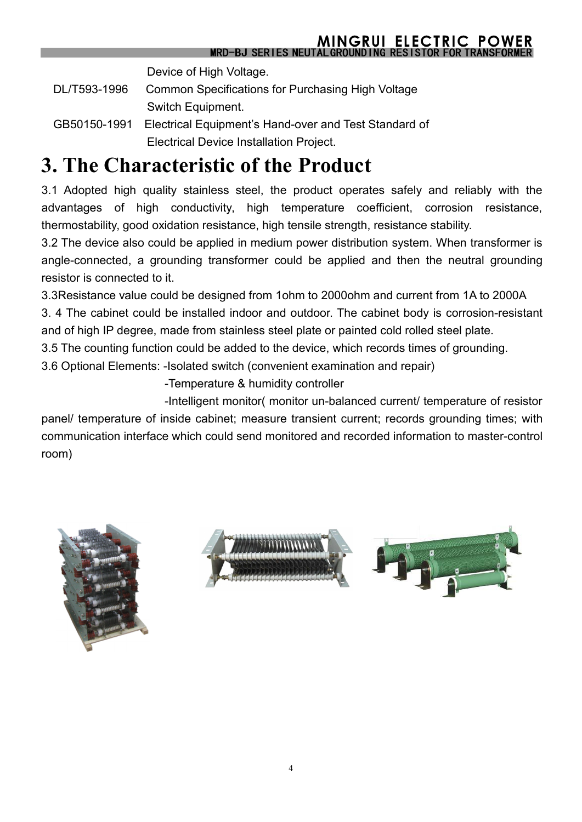Device of High Voltage.

- DL/T593-1996 Common Specifications for Purchasing High Voltage Switch Equipment.
- GB50150-1991 Electrical Equipment's Hand-over and Test Standard of Electrical Device Installation Project.

## **3. The Characteristic of the Product**

3.1 Adopted high quality stainless steel, the product operates safely and reliably with the advantages of high conductivity, high temperature coefficient, corrosion resistance, thermostability, good oxidation resistance, high tensile strength, resistance stability.

3.2 The device also could be applied in medium power distribution system. When transformer is angle-connected, a grounding transformer could be applied and then the neutral grounding resistor is connected to it.

3.3Resistance value could be designed from 1ohm to 2000ohm and current from 1A to 2000A

3. 4 The cabinet could be installed indoor and outdoor. The cabinet body is corrosion-resistant and of high IP degree, made from stainless steel plate or painted cold rolled steel plate.

3.5 The counting function could be added to the device, which records times of grounding.

3.6 Optional Elements: -Isolated switch (convenient examination and repair)

-Temperature & humidity controller

-Intelligent monitor( monitor un-balanced current/ temperature of resistor

panel/ temperature of inside cabinet; measure transient current; records grounding times; with communication interface which could send monitored and recorded information to master-control room)





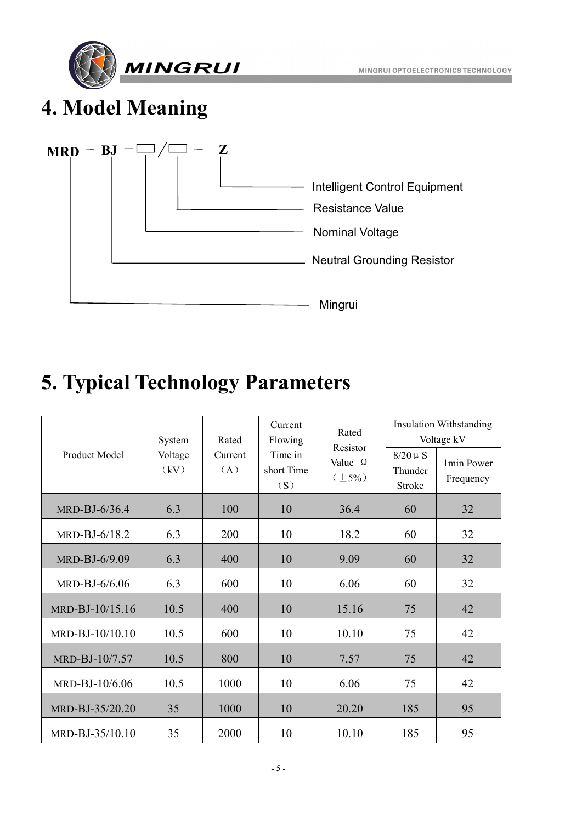



## **4. Model Meaning**



## **5. Typical Technology Parameters**

| Product Model    | System<br>Voltage<br>(kV) | Rated<br>Current<br>(A) | Current<br>Flowing<br>Time in<br>short Time<br>(S) | Rated<br>Resistor<br>Value $\Omega$<br>$(\pm 5\%)$ | $8/20~\mu~\mathrm{S}$<br>Thunder<br>Stroke | <b>Insulation Withstanding</b><br>Voltage kV<br>1min Power<br>Frequency |
|------------------|---------------------------|-------------------------|----------------------------------------------------|----------------------------------------------------|--------------------------------------------|-------------------------------------------------------------------------|
| MRD-BJ-6/36.4    | 6.3                       | 100                     | 10                                                 | 36.4                                               | 60                                         | 32                                                                      |
| MRD-BJ-6/18.2    | 6.3                       | 200                     | 10                                                 | 18.2                                               | 60                                         | 32                                                                      |
| MRD-BJ-6/9.09    | 6.3                       | 400                     | 10                                                 | 9.09                                               | 60                                         | 32                                                                      |
| MRD-BJ- $6/6.06$ | 6.3                       | 600                     | 10                                                 | 6.06                                               | 60                                         | 32                                                                      |
| MRD-BJ-10/15.16  | 10.5                      | 400                     | 10                                                 | 15.16                                              | 75                                         | 42                                                                      |
| MRD-BJ-10/10.10  | 10.5                      | 600                     | 10                                                 | 10.10                                              | 75                                         | 42                                                                      |
| MRD-BJ-10/7.57   | 10.5                      | 800                     | 10                                                 | 7.57                                               | 75                                         | 42                                                                      |
| MRD-BJ-10/6.06   | 10.5                      | 1000                    | 10                                                 | 6.06                                               | 75                                         | 42                                                                      |
| MRD-BJ-35/20.20  | 35                        | 1000                    | 10                                                 | 20.20                                              | 185                                        | 95                                                                      |
| MRD-BJ-35/10.10  | 35                        | 2000                    | 10                                                 | 10.10                                              | 185                                        | 95                                                                      |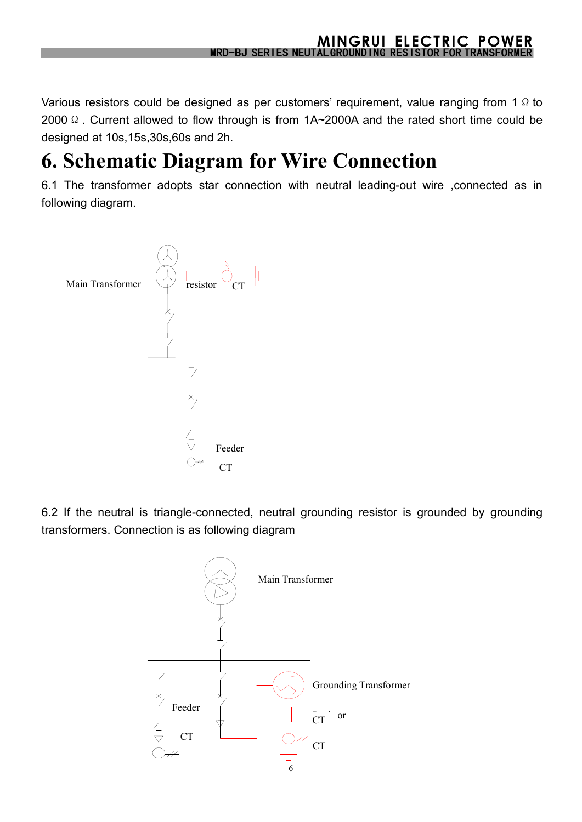Various resistors could be designed as per customers' requirement, value ranging from 1  $\Omega$  to 2000 Ω. Current allowed to flow through is from 1A~2000A and the rated short time could be designed at 10s,15s,30s,60s and 2h.

## **6. Schematic Diagram for Wire Connection**

6.1 The transformer adopts star connection with neutral leading-out wire ,connected as in following diagram.



6.2 If the neutral is triangle-connected, neutral grounding resistor is grounded by grounding transformers. Connection is as following diagram

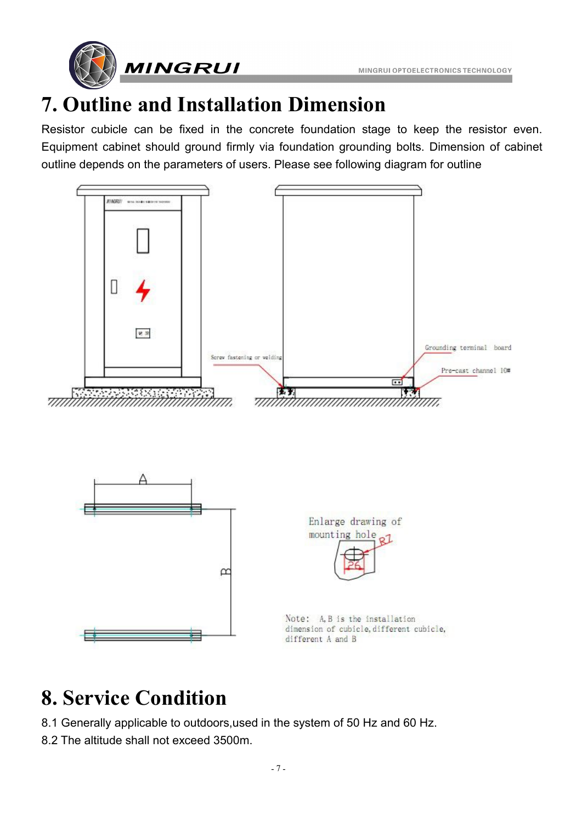



# **7. Outline and Installation Dimension**

Resistor cubicle can be fixed in the concrete foundation stage to keep the resistor even. Equipment cabinet should ground firmly via foundation grounding bolts. Dimension of cabinet outline depends on the parameters of users. Please see following diagram for outline



## **8. Service Condition**

- 8.1 Generally applicable to outdoors,used in the system of 50 Hz and 60 Hz.
- 8.2 The altitude shall not exceed 3500m.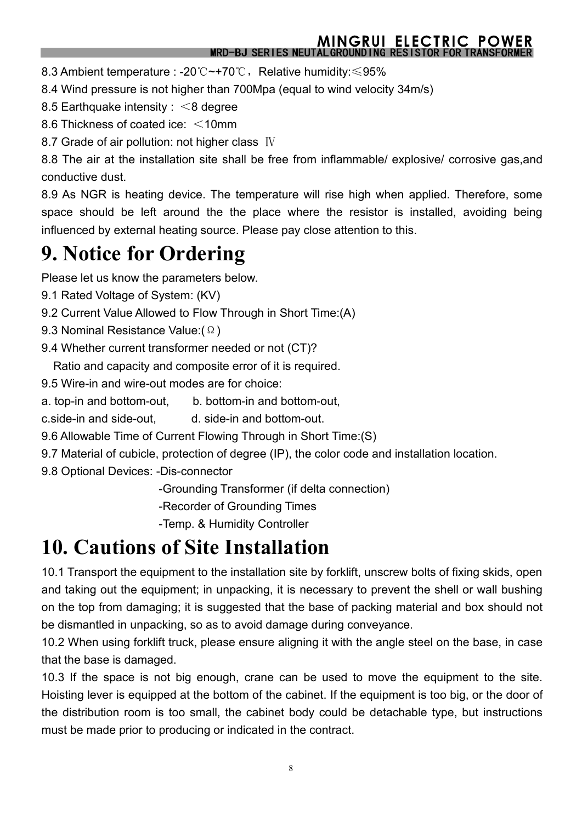#### **MINGRUI ELECTRIC POWER** MRD-BJ SERIES NEUTAL GROUNDING RESISTOR FOR TR

8.3 Ambient temperature : -20℃~+70℃, Relative humidity: ≤95%

8.4 Wind pressure is not higher than 700Mpa (equal to wind velocity 34m/s)

- 8.5 Earthquake intensity : <8 degree
- 8.6 Thickness of coated ice: <10mm

8.7 Grade of air pollution: not higher class Ⅳ

8.8 The air at the installation site shall be free from inflammable/ explosive/ corrosive gas,and conductive dust.

8.9 As NGR is heating device. The temperature will rise high when applied. Therefore, some space should be left around the the place where the resistor is installed, avoiding being influenced by external heating source. Please pay close attention to this.

## **9. Notice for Ordering**

Please let us know the parameters below.

- 9.1 Rated Voltage of System: (KV)
- 9.2 Current Value Allowed to Flow Through in Short Time:(A)
- 9.3 Nominal Resistance Value:(Ω)
- 9.4 Whether current transformer needed or not (CT)?

Ratio and capacity and composite error of it is required.

- 9.5 Wire-in and wire-out modes are for choice:
- a. top-in and bottom-out, b. bottom-in and bottom-out,
- c.side-in and side-out, d. side-in and bottom-out.
- 9.6 Allowable Time of Current Flowing Through in Short Time:(S)
- 9.7 Material of cubicle, protection of degree (IP), the color code and installation location.
- 9.8 Optional Devices: -Dis-connector

-Grounding Transformer (if delta connection)

-Recorder of Grounding Times

-Temp. & Humidity Controller

## **10. Cautions of Site Installation**

10.1 Transport the equipment to the installation site by forklift, unscrew bolts of fixing skids, open and taking out the equipment; in unpacking, it is necessary to prevent the shell or wall bushing on the top from damaging; it is suggested that the base of packing material and box should not be dismantled in unpacking, so as to avoid damage during conveyance.

10.2 When using forklift truck, please ensure aligning it with the angle steel on the base, in case that the base is damaged.

10.3 If the space is not big enough, crane can be used to move the equipment to the site. Hoisting lever is equipped at the bottom of the cabinet. If the equipment is too big, or the door of the distribution room is too small, the cabinet body could be detachable type, but instructions must be made prior to producing or indicated in the contract.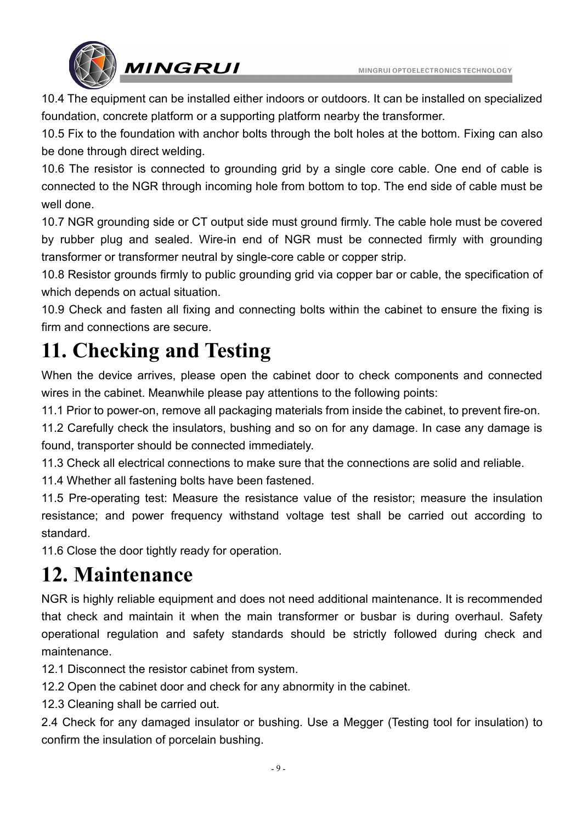MINGRUI OPTOELECTRONICS TECHNOLOGY



10.4 The equipment can be installed either indoors or outdoors. It can be installed on specialized foundation, concrete platform or a supporting platform nearby the transformer.

10.5 Fix to the foundation with anchor bolts through the bolt holes at the bottom. Fixing can also be done through direct welding.

10.6 The resistor is connected to grounding grid by a single core cable. One end of cable is connected to the NGR through incoming hole from bottom to top. The end side of cable must be well done.

10.7 NGR grounding side or CT output side must ground firmly. The cable hole must be covered by rubber plug and sealed. Wire-in end of NGR must be connected firmly with grounding transformer or transformer neutral by single-core cable or copper strip.

10.8 Resistor grounds firmly to public grounding grid via copper bar or cable, the specification of which depends on actual situation.

10.9 Check and fasten all fixing and connecting bolts within the cabinet to ensure the fixing is firm and connections are secure.

## **11. Checking and Testing**

When the device arrives, please open the cabinet door to check components and connected wires in the cabinet. Meanwhile please pay attentions to the following points:

11.1 Prior to power-on, remove all packaging materials from inside the cabinet, to prevent fire-on.

11.2 Carefully check the insulators, bushing and so on for any damage. In case any damage is found, transporter should be connected immediately.

11.3 Check all electrical connections to make sure that the connections are solid and reliable.

11.4 Whether all fastening bolts have been fastened.

11.5 Pre-operating test: Measure the resistance value of the resistor; measure the insulation resistance; and power frequency withstand voltage test shall be carried out according to standard.

11.6 Close the door tightly ready for operation.

## **12. Maintenance**

NGR is highly reliable equipment and does not need additional maintenance. It is recommended that check and maintain it when the main transformer or busbar is during overhaul. Safety operational regulation and safety standards should be strictly followed during check and maintenance.

12.1 Disconnect the resistor cabinet from system.

12.2 Open the cabinet door and check for any abnormity in the cabinet.

12.3 Cleaning shall be carried out.

2.4 Check for any damaged insulator or bushing. Use a Megger (Testing tool for insulation) to confirm the insulation of porcelain bushing.